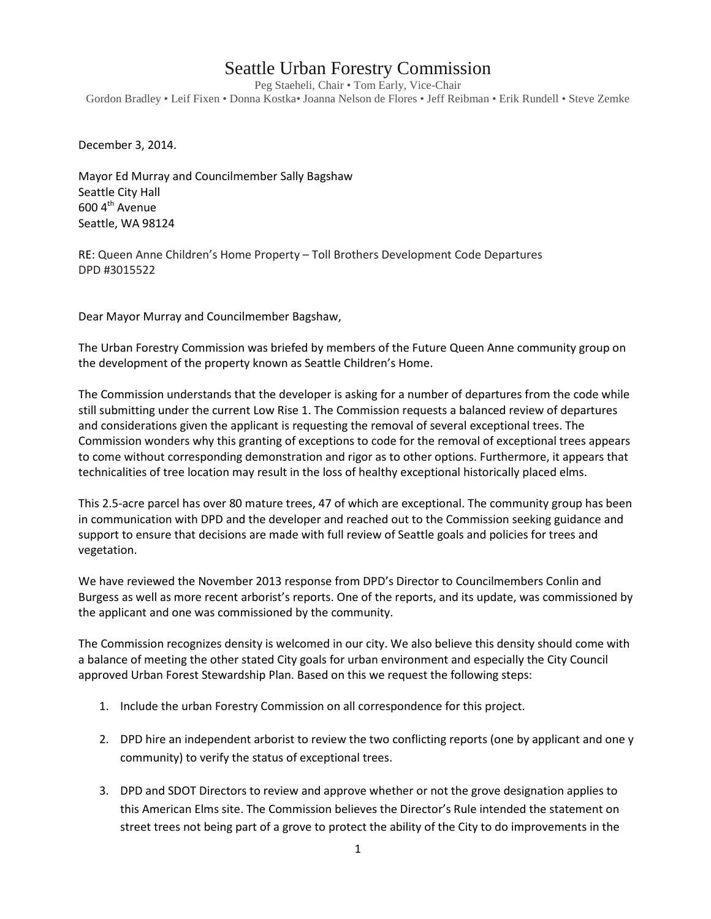## Seattle Urban Forestry Commission

Peg Staeheli, Chair • Tom Early, Vice-Chair Gordon Bradley • Leif Fixen • Donna Kostka• Joanna Nelson de Flores • Jeff Reibman • Erik Rundell • Steve Zemke

December 3, 2014.

Mayor Ed Murray and Councilmember Sally Bagshaw Seattle City Hall  $600$  4<sup>th</sup> Avenue Seattle, WA 98124

RE: Queen Anne Children's Home Property – Toll Brothers Development Code Departures DPD #3015522

Dear Mayor Murray and Councilmember Bagshaw,

The Urban Forestry Commission was briefed by members of the Future Queen Anne community group on the development of the property known as Seattle Children's Home.

The Commission understands that the developer is asking for a number of departures from the code while still submitting under the current Low Rise 1. The Commission requests a balanced review of departures and considerations given the applicant is requesting the removal of several exceptional trees. The Commission wonders why this granting of exceptions to code for the removal of exceptional trees appears to come without corresponding demonstration and rigor as to other options. Furthermore, it appears that technicalities of tree location may result in the loss of healthy exceptional historically placed elms.

This 2.5-acre parcel has over 80 mature trees, 47 of which are exceptional. The community group has been in communication with DPD and the developer and reached out to the Commission seeking guidance and support to ensure that decisions are made with full review of Seattle goals and policies for trees and vegetation.

We have reviewed the November 2013 response from DPD's Director to Councilmembers Conlin and Burgess as well as more recent arborist's reports. One of the reports, and its update, was commissioned by the applicant and one was commissioned by the community.

The Commission recognizes density is welcomed in our city. We also believe this density should come with a balance of meeting the other stated City goals for urban environment and especially the City Council approved Urban Forest Stewardship Plan. Based on this we request the following steps:

- 1. Include the urban Forestry Commission on all correspondence for this project.
- 2. DPD hire an independent arborist to review the two conflicting reports (one by applicant and one y community) to verify the status of exceptional trees.
- 3. DPD and SDOT Directors to review and approve whether or not the grove designation applies to this American Elms site. The Commission believes the Director's Rule intended the statement on street trees not being part of a grove to protect the ability of the City to do improvements in the